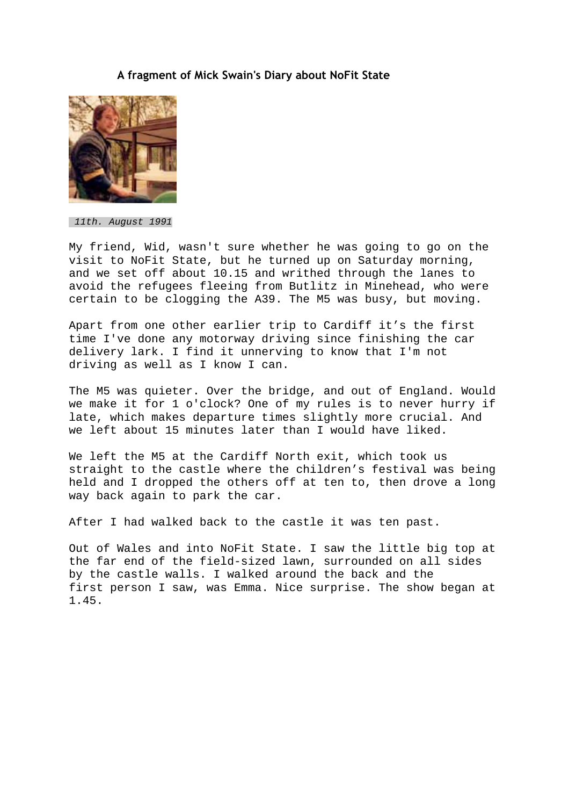## **A fragment of Mick Swain's Diary about NoFit State**



11th. August 1991

My friend, Wid, wasn't sure whether he was going to go on the visit to NoFit State, but he turned up on Saturday morning, and we set off about 10.15 and writhed through the lanes to avoid the refugees fleeing from Butlitz in Minehead, who were certain to be clogging the A39. The M5 was busy, but moving.

Apart from one other earlier trip to Cardiff it's the first time I've done any motorway driving since finishing the car delivery lark. I find it unnerving to know that I'm not driving as well as I know I can.

The M5 was quieter. Over the bridge, and out of England. Would we make it for 1 o'clock? One of my rules is to never hurry if late, which makes departure times slightly more crucial. And we left about 15 minutes later than I would have liked.

We left the M5 at the Cardiff North exit, which took us straight to the castle where the children's festival was being held and I dropped the others off at ten to, then drove a long way back again to park the car.

After I had walked back to the castle it was ten past.

Out of Wales and into NoFit State. I saw the little big top at the far end of the field-sized lawn, surrounded on all sides by the castle walls. I walked around the back and the first person I saw, was Emma. Nice surprise. The show began at 1.45.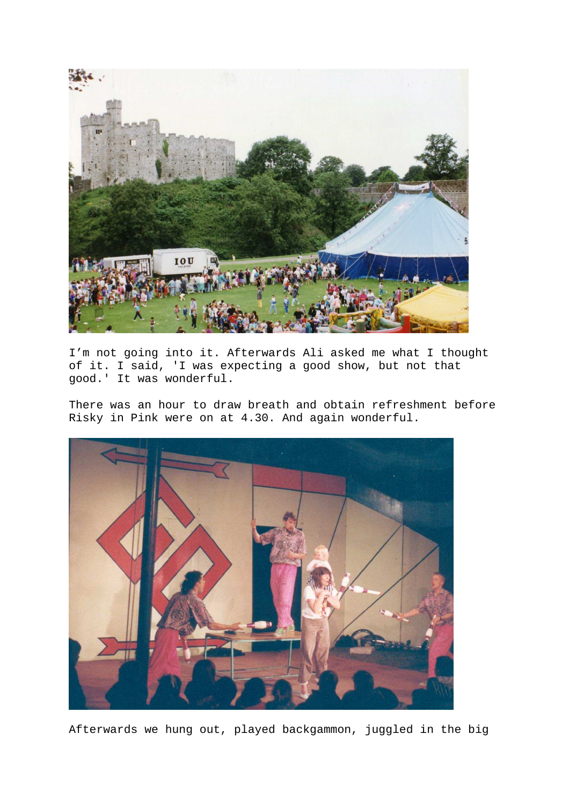

I'm not going into it. Afterwards Ali asked me what I thought of it. I said, 'I was expecting a good show, but not that good.' It was wonderful.

There was an hour to draw breath and obtain refreshment before Risky in Pink were on at 4.30. And again wonderful.



Afterwards we hung out, played backgammon, juggled in the big